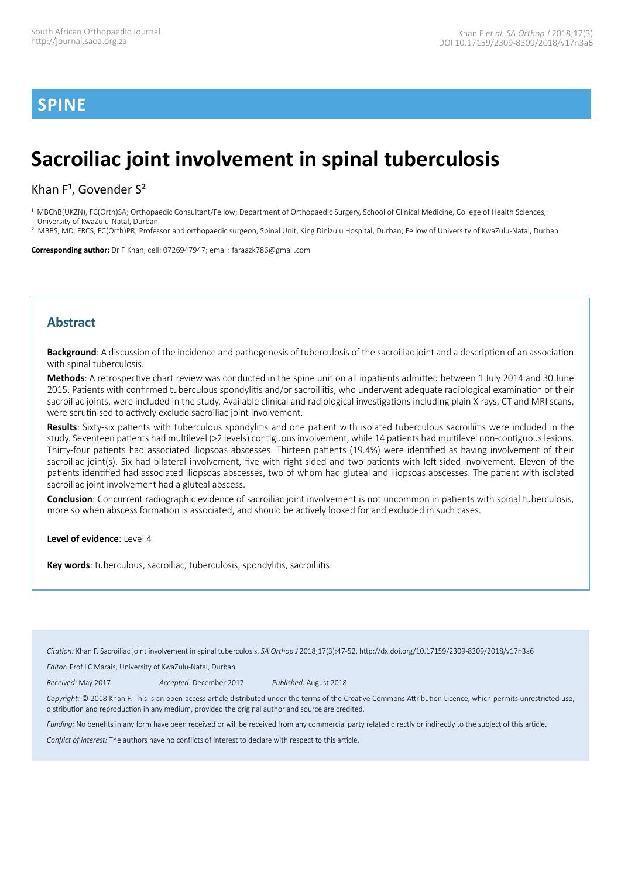# **SPINE**

# **Sacroiliac joint involvement in spinal tuberculosis**

# Khan  $F^1$ . Govender  $S^2$

<sup>1</sup> MBChB(UKZN), FC(Orth)SA; Orthopaedic Consultant/Fellow; Department of Orthopaedic Surgery, School of Clinical Medicine, College of Health Sciences, University of KwaZulu-Natal, Durban

<sup>2</sup> MBBS, MD, FRCS, FC(Orth)PR; Professor and orthopaedic surgeon, Spinal Unit, King Dinizulu Hospital, Durban; Fellow of University of KwaZulu-Natal, Durban

**Corresponding author:** Dr F Khan, cell: 0726947947; email: faraazk786@gmail.com

# **Abstract**

**Background**: A discussion of the incidence and pathogenesis of tuberculosis of the sacroiliac joint and a description of an association with spinal tuberculosis.

**Methods**: A retrospective chart review was conducted in the spine unit on all inpatients admitted between 1 July 2014 and 30 June 2015. Patients with confirmed tuberculous spondylitis and/or sacroiliitis, who underwent adequate radiological examination of their sacroiliac joints, were included in the study. Available clinical and radiological investigations including plain X-rays, CT and MRI scans, were scrutinised to actively exclude sacroiliac joint involvement.

**Results**: Sixty-six patients with tuberculous spondylitis and one patient with isolated tuberculous sacroiliitis were included in the study. Seventeen patients had multilevel (>2 levels) contiguous involvement, while 14 patients had multilevel non-contiguous lesions. Thirty-four patients had associated iliopsoas abscesses. Thirteen patients (19.4%) were identified as having involvement of their sacroiliac joint(s). Six had bilateral involvement, five with right-sided and two patients with left-sided involvement. Eleven of the patients identified had associated iliopsoas abscesses, two of whom had gluteal and iliopsoas abscesses. The patient with isolated sacroiliac joint involvement had a gluteal abscess.

**Conclusion**: Concurrent radiographic evidence of sacroiliac joint involvement is not uncommon in patients with spinal tuberculosis, more so when abscess formation is associated, and should be actively looked for and excluded in such cases.

**Level of evidence**: Level 4

**Key words**: tuberculous, sacroiliac, tuberculosis, spondylitis, sacroiliitis

*Citation:* Khan F. Sacroiliac joint involvement in spinal tuberculosis. *SA Orthop J* 2018;17(3):47-52. http://dx.doi.org/10.17159/2309-8309/2018/v17n3a6

*Editor:* Prof LC Marais, University of KwaZulu-Natal, Durban

*Received:* May 2017 *Accepted:* December 2017 *Published:* August 2018

*Copyright:* © 2018 Khan F. This is an open-access article distributed under the terms of the Creative Commons Attribution Licence, which permits unrestricted use, distribution and reproduction in any medium, provided the original author and source are credited.

*Funding:* No benefits in any form have been received or will be received from any commercial party related directly or indirectly to the subject of this article.

*Conflict of interest:* The authors have no conflicts of interest to declare with respect to this article.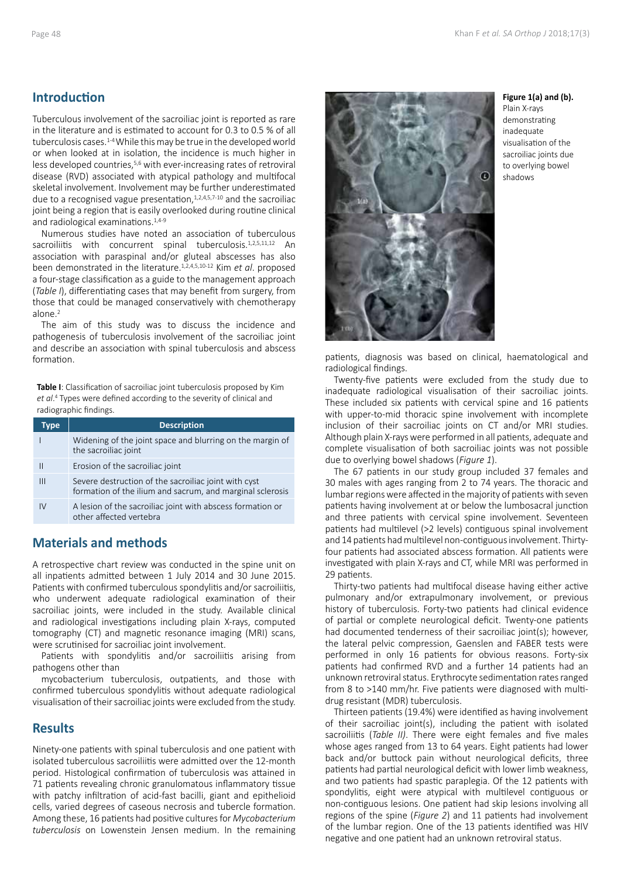# **Introduction**

Tuberculous involvement of the sacroiliac joint is reported as rare in the literature and is estimated to account for 0.3 to 0.5 % of all tuberculosis cases.1-4 While this may be true in the developed world or when looked at in isolation, the incidence is much higher in less developed countries,<sup>5,6</sup> with ever-increasing rates of retroviral disease (RVD) associated with atypical pathology and multifocal skeletal involvement. Involvement may be further underestimated due to a recognised vague presentation, $1,2,4,5,7-10$  and the sacroiliac joint being a region that is easily overlooked during routine clinical and radiological examinations.<sup>1,4-9</sup>

Numerous studies have noted an association of tuberculous sacroiliitis with concurrent spinal tuberculosis.<sup>1,2,5,11,12</sup> An association with paraspinal and/or gluteal abscesses has also been demonstrated in the literature.1,2,4,5,10-12 Kim *et al*. proposed a four-stage classification as a guide to the management approach (*Table I*), differentiating cases that may benefit from surgery, from those that could be managed conservatively with chemotherapy alone.<sup>2</sup>

The aim of this study was to discuss the incidence and pathogenesis of tuberculosis involvement of the sacroiliac joint and describe an association with spinal tuberculosis and abscess formation.

**Table I:** Classification of sacroiliac joint tuberculosis proposed by Kim *et al*. <sup>4</sup> Types were defined according to the severity of clinical and radiographic findings.

| Tvpe. | <b>Description</b>                                                                                                |  |  |  |
|-------|-------------------------------------------------------------------------------------------------------------------|--|--|--|
|       | Widening of the joint space and blurring on the margin of<br>the sacroiliac joint                                 |  |  |  |
| Ш     | Erosion of the sacroiliac joint                                                                                   |  |  |  |
| Ш     | Severe destruction of the sacroiliac joint with cyst<br>formation of the ilium and sacrum, and marginal sclerosis |  |  |  |
|       | A lesion of the sacroiliac joint with abscess formation or<br>other affected vertebra                             |  |  |  |

## **Materials and methods**

A retrospective chart review was conducted in the spine unit on all inpatients admitted between 1 July 2014 and 30 June 2015. Patients with confirmed tuberculous spondylitis and/or sacroiliitis, who underwent adequate radiological examination of their sacroiliac joints, were included in the study. Available clinical and radiological investigations including plain X-rays, computed tomography (CT) and magnetic resonance imaging (MRI) scans, were scrutinised for sacroiliac joint involvement.

Patients with spondylitis and/or sacroiliitis arising from pathogens other than

mycobacterium tuberculosis, outpatients, and those with confirmed tuberculous spondylitis without adequate radiological visualisation of their sacroiliac joints were excluded from the study.

#### **Results**

Ninety-one patients with spinal tuberculosis and one patient with isolated tuberculous sacroiliitis were admitted over the 12-month period. Histological confirmation of tuberculosis was attained in 71 patients revealing chronic granulomatous inflammatory tissue with patchy infiltration of acid-fast bacilli, giant and epithelioid cells, varied degrees of caseous necrosis and tubercle formation. Among these, 16 patients had positive cultures for *Mycobacterium tuberculosis* on Lowenstein Jensen medium. In the remaining



#### **Figure 1(a) and (b).**

Plain X-rays demonstrating inadequate visualisation of the sacroiliac joints due to overlying bowel shadows

patients, diagnosis was based on clinical, haematological and radiological findings.

Twenty-five patients were excluded from the study due to inadequate radiological visualisation of their sacroiliac joints. These included six patients with cervical spine and 16 patients with upper-to-mid thoracic spine involvement with incomplete inclusion of their sacroiliac joints on CT and/or MRI studies. Although plain X-rays were performed in all patients, adequate and complete visualisation of both sacroiliac joints was not possible due to overlying bowel shadows (*Figure 1*).

The 67 patients in our study group included 37 females and 30 males with ages ranging from 2 to 74 years. The thoracic and lumbar regions were affected in the majority of patients with seven patients having involvement at or below the lumbosacral junction and three patients with cervical spine involvement. Seventeen patients had multilevel (>2 levels) contiguous spinal involvement and 14 patients had multilevel non-contiguous involvement. Thirtyfour patients had associated abscess formation. All patients were investigated with plain X-rays and CT, while MRI was performed in 29 patients.

Thirty-two patients had multifocal disease having either active pulmonary and/or extrapulmonary involvement, or previous history of tuberculosis. Forty-two patients had clinical evidence of partial or complete neurological deficit. Twenty-one patients had documented tenderness of their sacroiliac joint(s); however, the lateral pelvic compression, Gaenslen and FABER tests were performed in only 16 patients for obvious reasons. Forty-six patients had confirmed RVD and a further 14 patients had an unknown retroviral status. Erythrocyte sedimentation rates ranged from 8 to >140 mm/hr. Five patients were diagnosed with multidrug resistant (MDR) tuberculosis.

Thirteen patients (19.4%) were identified as having involvement of their sacroiliac joint(s), including the patient with isolated sacroiliitis (*Table II)*. There were eight females and five males whose ages ranged from 13 to 64 years. Eight patients had lower back and/or buttock pain without neurological deficits, three patients had partial neurological deficit with lower limb weakness, and two patients had spastic paraplegia. Of the 12 patients with spondylitis, eight were atypical with multilevel contiguous or non-contiguous lesions. One patient had skip lesions involving all regions of the spine (*Figure 2*) and 11 patients had involvement of the lumbar region. One of the 13 patients identified was HIV negative and one patient had an unknown retroviral status.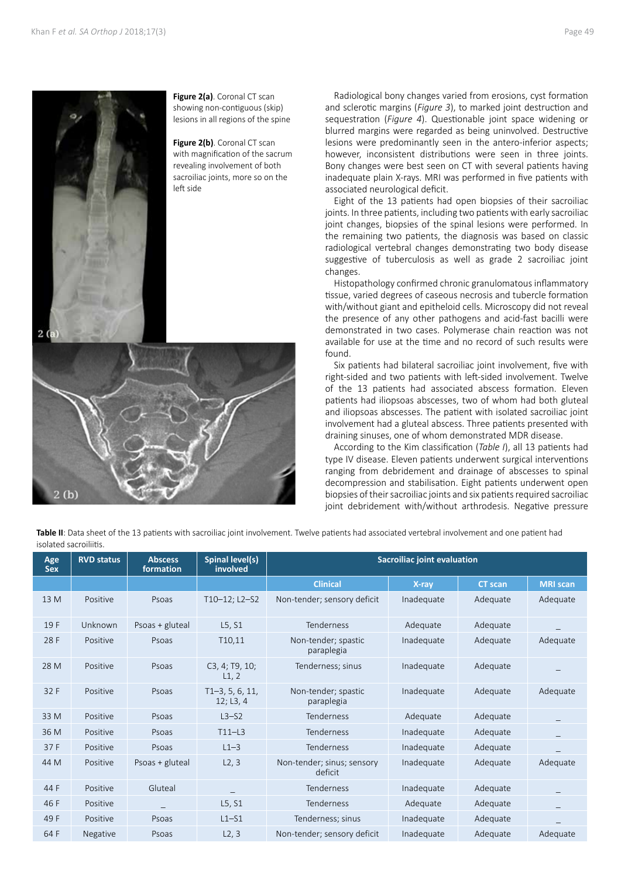

Radiological bony changes varied from erosions, cyst formation and sclerotic margins (*Figure 3*), to marked joint destruction and sequestration (*Figure 4*). Questionable joint space widening or blurred margins were regarded as being uninvolved. Destructive lesions were predominantly seen in the antero-inferior aspects; however, inconsistent distributions were seen in three joints. Bony changes were best seen on CT with several patients having inadequate plain X-rays. MRI was performed in five patients with associated neurological deficit.

Eight of the 13 patients had open biopsies of their sacroiliac joints. In three patients, including two patients with early sacroiliac joint changes, biopsies of the spinal lesions were performed. In the remaining two patients, the diagnosis was based on classic radiological vertebral changes demonstrating two body disease suggestive of tuberculosis as well as grade 2 sacroiliac joint changes.

Histopathology confirmed chronic granulomatous inflammatory tissue, varied degrees of caseous necrosis and tubercle formation with/without giant and epitheloid cells. Microscopy did not reveal the presence of any other pathogens and acid-fast bacilli were demonstrated in two cases. Polymerase chain reaction was not available for use at the time and no record of such results were found.

Six patients had bilateral sacroiliac joint involvement, five with right-sided and two patients with left-sided involvement. Twelve of the 13 patients had associated abscess formation. Eleven patients had iliopsoas abscesses, two of whom had both gluteal and iliopsoas abscesses. The patient with isolated sacroiliac joint involvement had a gluteal abscess. Three patients presented with draining sinuses, one of whom demonstrated MDR disease.

According to the Kim classification (*Table I*), all 13 patients had type IV disease. Eleven patients underwent surgical interventions ranging from debridement and drainage of abscesses to spinal decompression and stabilisation. Eight patients underwent open biopsies of their sacroiliac joints and six patients required sacroiliac joint debridement with/without arthrodesis. Negative pressure

**Table II**: Data sheet of the 13 patients with sacroiliac joint involvement. Twelve patients had associated vertebral involvement and one patient had isolated sacroiliitis.

| Age<br><b>Sex</b> | <b>RVD status</b> | <b>Abscess</b><br>formation | Spinal level(s)<br>involved    | <b>Sacroiliac joint evaluation</b>    |            |                |                 |
|-------------------|-------------------|-----------------------------|--------------------------------|---------------------------------------|------------|----------------|-----------------|
|                   |                   |                             |                                | <b>Clinical</b>                       | X-ray      | <b>CT</b> scan | <b>MRI</b> scan |
| 13 M              | Positive          | Psoas                       | $T10-12; L2-S2$                | Non-tender; sensory deficit           | Inadequate | Adequate       | Adequate        |
| 19F               | Unknown           | Psoas + gluteal             | L5, S1                         | Tenderness                            | Adequate   | Adequate       |                 |
| 28 F              | Positive          | Psoas                       | T <sub>10</sub> ,11            | Non-tender; spastic<br>paraplegia     | Inadequate | Adequate       | Adequate        |
| 28 M              | Positive          | Psoas                       | C3, 4; T9, 10;<br>L1, 2        | Tenderness; sinus                     | Inadequate | Adequate       |                 |
| 32 F              | Positive          | Psoas                       | $T1-3, 5, 6, 11,$<br>12; L3, 4 | Non-tender; spastic<br>paraplegia     | Inadequate | Adequate       | Adequate        |
| 33 M              | Positive          | Psoas                       | $L3-S2$                        | Tenderness                            | Adequate   | Adequate       |                 |
| 36 M              | Positive          | Psoas                       | $T11-L3$                       | Tenderness                            | Inadequate | Adequate       |                 |
| 37 F              | Positive          | Psoas                       | $L1-3$                         | Tenderness                            | Inadequate | Adequate       |                 |
| 44 M              | Positive          | $Pos$ oas + gluteal         | L2, 3                          | Non-tender; sinus; sensory<br>deficit | Inadequate | Adequate       | Adequate        |
| 44 F              | Positive          | Gluteal                     |                                | Tenderness                            | Inadequate | Adequate       |                 |
| 46 F              | Positive          |                             | L5, S1                         | Tenderness                            | Adequate   | Adequate       |                 |
| 49 F              | Positive          | Psoas                       | $L1-S1$                        | Tenderness; sinus                     | Inadequate | Adequate       |                 |
| 64 F              | Negative          | Psoas                       | L2, 3                          | Non-tender; sensory deficit           | Inadequate | Adequate       | Adequate        |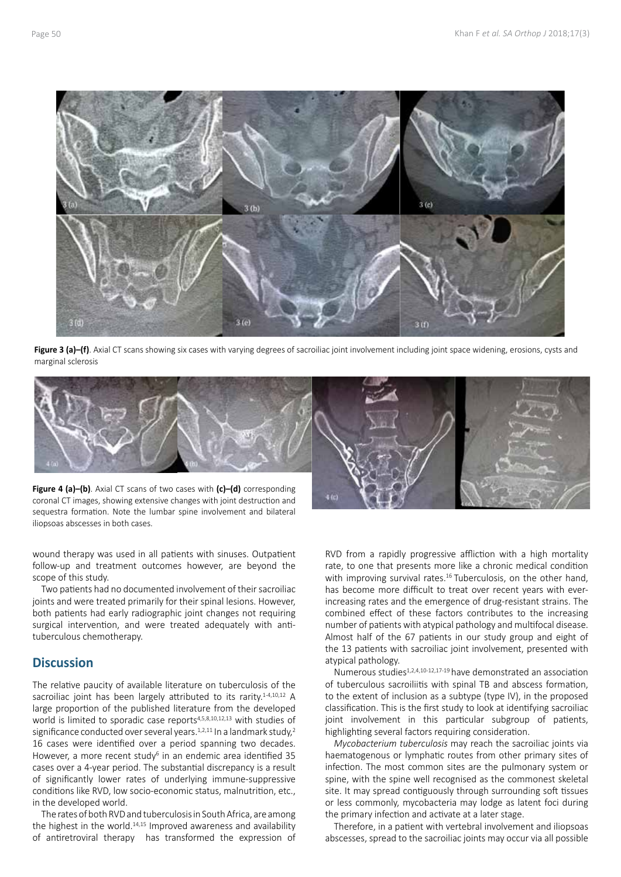

Figure 3 (a)–(f). Axial CT scans showing six cases with varying degrees of sacroiliac joint involvement including joint space widening, erosions, cysts and marginal sclerosis



 $4(c)$ 

**Figure 4 (a)–(b)**. Axial CT scans of two cases with **(c)–(d)** corresponding coronal CT images, showing extensive changes with joint destruction and sequestra formation. Note the lumbar spine involvement and bilateral iliopsoas abscesses in both cases.

wound therapy was used in all patients with sinuses. Outpatient follow-up and treatment outcomes however, are beyond the scope of this study.

Two patients had no documented involvement of their sacroiliac joints and were treated primarily for their spinal lesions. However, both patients had early radiographic joint changes not requiring surgical intervention, and were treated adequately with antituberculous chemotherapy.

#### **Discussion**

The relative paucity of available literature on tuberculosis of the sacroiliac joint has been largely attributed to its rarity.<sup>1-4,10,12</sup> A large proportion of the published literature from the developed world is limited to sporadic case reports<sup>4,5,8,10,12,13</sup> with studies of significance conducted over several years.<sup>1,2,11</sup> In a landmark study,<sup>2</sup> 16 cases were identified over a period spanning two decades. However, a more recent study<sup>6</sup> in an endemic area identified 35 cases over a 4-year period. The substantial discrepancy is a result of significantly lower rates of underlying immune-suppressive conditions like RVD, low socio-economic status, malnutrition, etc., in the developed world.

The rates of both RVD and tuberculosis in South Africa, are among the highest in the world.<sup>14,15</sup> Improved awareness and availability of antiretroviral therapy has transformed the expression of RVD from a rapidly progressive affliction with a high mortality rate, to one that presents more like a chronic medical condition with improving survival rates.<sup>16</sup> Tuberculosis, on the other hand, has become more difficult to treat over recent years with everincreasing rates and the emergence of drug-resistant strains. The combined effect of these factors contributes to the increasing number of patients with atypical pathology and multifocal disease. Almost half of the 67 patients in our study group and eight of the 13 patients with sacroiliac joint involvement, presented with atypical pathology.

Numerous studies<sup>1,2,4,10-12,17-19</sup> have demonstrated an association of tuberculous sacroiliitis with spinal TB and abscess formation, to the extent of inclusion as a subtype (type IV), in the proposed classification. This is the first study to look at identifying sacroiliac joint involvement in this particular subgroup of patients, highlighting several factors requiring consideration.

*Mycobacterium tuberculosis* may reach the sacroiliac joints via haematogenous or lymphatic routes from other primary sites of infection. The most common sites are the pulmonary system or spine, with the spine well recognised as the commonest skeletal site. It may spread contiguously through surrounding soft tissues or less commonly, mycobacteria may lodge as latent foci during the primary infection and activate at a later stage.

Therefore, in a patient with vertebral involvement and iliopsoas abscesses, spread to the sacroiliac joints may occur via all possible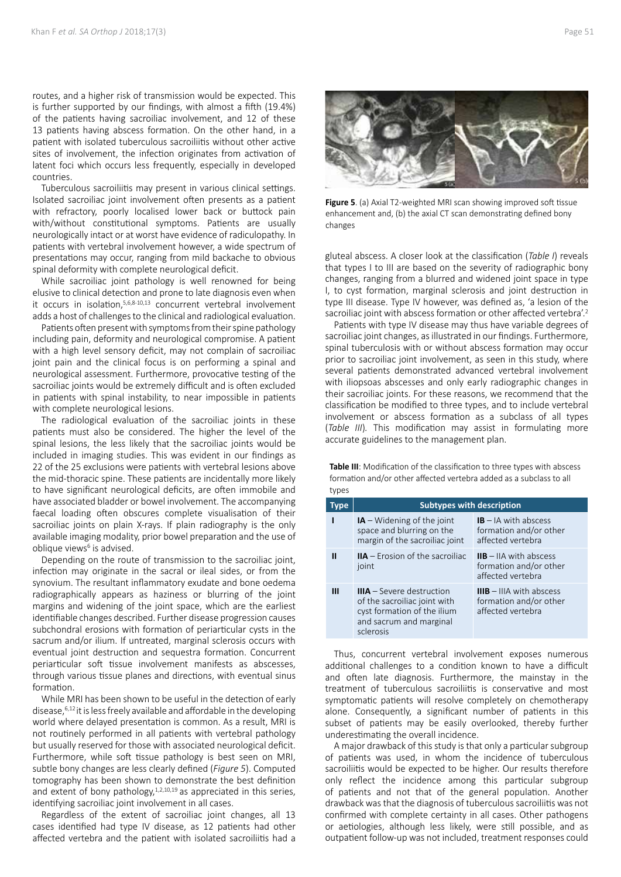routes, and a higher risk of transmission would be expected. This is further supported by our findings, with almost a fifth (19.4%) of the patients having sacroiliac involvement, and 12 of these 13 patients having abscess formation. On the other hand, in a patient with isolated tuberculous sacroiliitis without other active sites of involvement, the infection originates from activation of latent foci which occurs less frequently, especially in developed countries.

Tuberculous sacroiliitis may present in various clinical settings. Isolated sacroiliac joint involvement often presents as a patient with refractory, poorly localised lower back or buttock pain with/without constitutional symptoms. Patients are usually neurologically intact or at worst have evidence of radiculopathy. In patients with vertebral involvement however, a wide spectrum of presentations may occur, ranging from mild backache to obvious spinal deformity with complete neurological deficit.

While sacroiliac joint pathology is well renowned for being elusive to clinical detection and prone to late diagnosis even when it occurs in isolation,<sup>5,6,8-10,13</sup> concurrent vertebral involvement adds a host of challenges to the clinical and radiological evaluation.

Patients often present with symptoms from their spine pathology including pain, deformity and neurological compromise. A patient with a high level sensory deficit, may not complain of sacroiliac joint pain and the clinical focus is on performing a spinal and neurological assessment. Furthermore, provocative testing of the sacroiliac joints would be extremely difficult and is often excluded in patients with spinal instability, to near impossible in patients with complete neurological lesions.

The radiological evaluation of the sacroiliac joints in these patients must also be considered. The higher the level of the spinal lesions, the less likely that the sacroiliac joints would be included in imaging studies. This was evident in our findings as 22 of the 25 exclusions were patients with vertebral lesions above the mid-thoracic spine. These patients are incidentally more likely to have significant neurological deficits, are often immobile and have associated bladder or bowel involvement. The accompanying faecal loading often obscures complete visualisation of their sacroiliac joints on plain X-rays. If plain radiography is the only available imaging modality, prior bowel preparation and the use of oblique views<sup>6</sup> is advised.

Depending on the route of transmission to the sacroiliac joint, infection may originate in the sacral or ileal sides, or from the synovium. The resultant inflammatory exudate and bone oedema radiographically appears as haziness or blurring of the joint margins and widening of the joint space, which are the earliest identifiable changes described. Further disease progression causes subchondral erosions with formation of periarticular cysts in the sacrum and/or ilium. If untreated, marginal sclerosis occurs with eventual joint destruction and sequestra formation. Concurrent periarticular soft tissue involvement manifests as abscesses, through various tissue planes and directions, with eventual sinus formation.

While MRI has been shown to be useful in the detection of early disease,<sup>6,12</sup> it is less freely available and affordable in the developing world where delayed presentation is common. As a result, MRI is not routinely performed in all patients with vertebral pathology but usually reserved for those with associated neurological deficit. Furthermore, while soft tissue pathology is best seen on MRI, subtle bony changes are less clearly defined (*Figure 5*). Computed tomography has been shown to demonstrate the best definition and extent of bony pathology, $1,2,10,19$  as appreciated in this series, identifying sacroiliac joint involvement in all cases.

Regardless of the extent of sacroiliac joint changes, all 13 cases identified had type IV disease, as 12 patients had other affected vertebra and the patient with isolated sacroiliitis had a



**Figure 5**. (a) Axial T2-weighted MRI scan showing improved soft tissue enhancement and, (b) the axial CT scan demonstrating defined bony changes

gluteal abscess. A closer look at the classification (*Table I*) reveals that types I to III are based on the severity of radiographic bony changes, ranging from a blurred and widened joint space in type I, to cyst formation, marginal sclerosis and joint destruction in type III disease. Type IV however, was defined as, 'a lesion of the sacroiliac joint with abscess formation or other affected vertebra'.<sup>2</sup>

Patients with type IV disease may thus have variable degrees of sacroiliac joint changes, as illustrated in our findings. Furthermore, spinal tuberculosis with or without abscess formation may occur prior to sacroiliac joint involvement, as seen in this study, where several patients demonstrated advanced vertebral involvement with iliopsoas abscesses and only early radiographic changes in their sacroiliac joints. For these reasons, we recommend that the classification be modified to three types, and to include vertebral involvement or abscess formation as a subclass of all types (*Table III*)*.* This modification may assist in formulating more accurate guidelines to the management plan.

Table III: Modification of the classification to three types with abscess formation and/or other affected vertebra added as a subclass to all types

| vpe | <b>Subtypes with description</b>                                                                                                   |                                                                           |  |  |  |
|-----|------------------------------------------------------------------------------------------------------------------------------------|---------------------------------------------------------------------------|--|--|--|
|     | $IA$ – Widening of the joint<br>space and blurring on the<br>margin of the sacroiliac joint                                        | $IB - IA$ with abscess<br>formation and/or other<br>affected vertebra     |  |  |  |
| п   | $IIA -$ Erosion of the sacroiliac<br>joint                                                                                         | $IIB - IIA$ with abscess<br>formation and/or other<br>affected vertebra   |  |  |  |
| Ш   | $IIIA - Severe destruction$<br>of the sacroiliac joint with<br>cyst formation of the ilium<br>and sacrum and marginal<br>sclerosis | $IIIB - IIIA$ with abscess<br>formation and/or other<br>affected vertebra |  |  |  |

Thus, concurrent vertebral involvement exposes numerous additional challenges to a condition known to have a difficult and often late diagnosis. Furthermore, the mainstay in the treatment of tuberculous sacroiliitis is conservative and most symptomatic patients will resolve completely on chemotherapy alone. Consequently, a significant number of patients in this subset of patients may be easily overlooked, thereby further underestimating the overall incidence.

A major drawback of this study is that only a particular subgroup of patients was used, in whom the incidence of tuberculous sacroiliitis would be expected to be higher. Our results therefore only reflect the incidence among this particular subgroup of patients and not that of the general population. Another drawback was that the diagnosis of tuberculous sacroiliitis was not confirmed with complete certainty in all cases. Other pathogens or aetiologies, although less likely, were still possible, and as outpatient follow-up was not included, treatment responses could